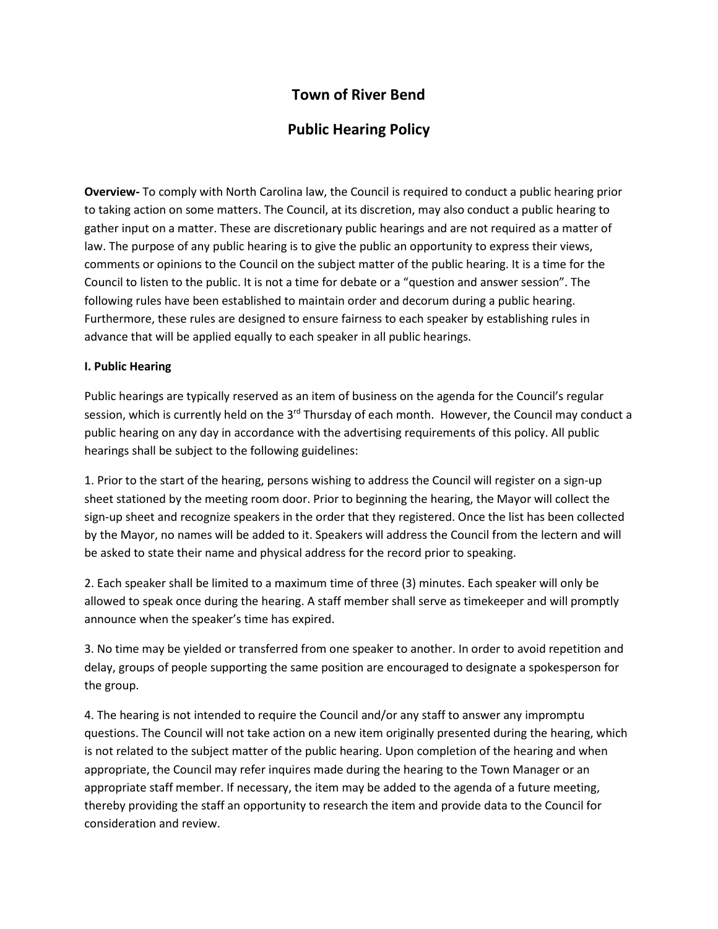## **Town of River Bend**

## **Public Hearing Policy**

**Overview-** To comply with North Carolina law, the Council is required to conduct a public hearing prior to taking action on some matters. The Council, at its discretion, may also conduct a public hearing to gather input on a matter. These are discretionary public hearings and are not required as a matter of law. The purpose of any public hearing is to give the public an opportunity to express their views, comments or opinions to the Council on the subject matter of the public hearing. It is a time for the Council to listen to the public. It is not a time for debate or a "question and answer session". The following rules have been established to maintain order and decorum during a public hearing. Furthermore, these rules are designed to ensure fairness to each speaker by establishing rules in advance that will be applied equally to each speaker in all public hearings.

## **I. Public Hearing**

Public hearings are typically reserved as an item of business on the agenda for the Council's regular session, which is currently held on the 3<sup>rd</sup> Thursday of each month. However, the Council may conduct a public hearing on any day in accordance with the advertising requirements of this policy. All public hearings shall be subject to the following guidelines:

1. Prior to the start of the hearing, persons wishing to address the Council will register on a sign-up sheet stationed by the meeting room door. Prior to beginning the hearing, the Mayor will collect the sign-up sheet and recognize speakers in the order that they registered. Once the list has been collected by the Mayor, no names will be added to it. Speakers will address the Council from the lectern and will be asked to state their name and physical address for the record prior to speaking.

2. Each speaker shall be limited to a maximum time of three (3) minutes. Each speaker will only be allowed to speak once during the hearing. A staff member shall serve as timekeeper and will promptly announce when the speaker's time has expired.

3. No time may be yielded or transferred from one speaker to another. In order to avoid repetition and delay, groups of people supporting the same position are encouraged to designate a spokesperson for the group.

4. The hearing is not intended to require the Council and/or any staff to answer any impromptu questions. The Council will not take action on a new item originally presented during the hearing, which is not related to the subject matter of the public hearing. Upon completion of the hearing and when appropriate, the Council may refer inquires made during the hearing to the Town Manager or an appropriate staff member. If necessary, the item may be added to the agenda of a future meeting, thereby providing the staff an opportunity to research the item and provide data to the Council for consideration and review.